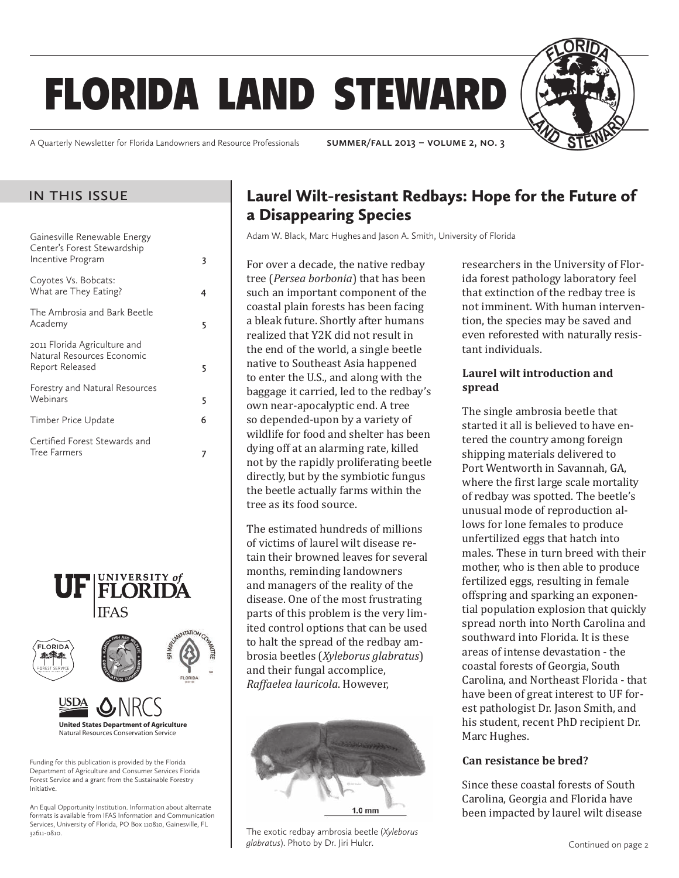# florida land steward

A Quarterly Newsletter for Florida Landowners and Resource Professionals **summer/fall 2013 – volume 2, no. 3**

### in this issue

| Gainesville Renewable Energy<br>Center's Forest Stewardship<br>Incentive Program | 3 |
|----------------------------------------------------------------------------------|---|
| Coyotes Vs. Bobcats:<br>What are They Eating?                                    | 4 |
| The Ambrosia and Bark Beetle<br>Academy                                          | 5 |
| 2011 Florida Agriculture and<br>Natural Resources Economic<br>Report Released    | 5 |
| Forestry and Natural Resources<br>Webinars                                       | 5 |
| Timber Price Update                                                              | 6 |
| Certified Forest Stewards and<br><b>Tree Farmers</b>                             |   |
|                                                                                  |   |



Department of Agriculture and Consumer Services Florida Forest Service and a grant from the Sustainable Forestry Initiative.

An Equal Opportunity Institution. Information about alternate formats is available from IFAS Information and Communication Services, University of Florida, PO Box 110810, Gainesville, FL 32611-0810.

# Laurel Wilt-resistant Redbays: Hope for the Future of a Disappearing Species

Adam W. Black, Marc Hughes and Jason A. Smith, University of Florida

For over a decade, the native redbay tree (*Persea borbonia*) that has been such an important component of the coastal plain forests has been facing a bleak future. Shortly after humans realized that Y2K did not result in the end of the world, a single beetle native to Southeast Asia happened to enter the U.S., and along with the baggage it carried, led to the redbay's own near-apocalyptic end. A tree so depended-upon by a variety of wildlife for food and shelter has been dying off at an alarming rate, killed not by the rapidly proliferating beetle directly, but by the symbiotic fungus the beetle actually farms within the tree as its food source.

The estimated hundreds of millions of victims of laurel wilt disease retain their browned leaves for several months, reminding landowners and managers of the reality of the disease. One of the most frustrating parts of this problem is the very limited control options that can be used to halt the spread of the redbay ambrosia beetles (*Xyleborus glabratus*) and their fungal accomplice, *Raffaelea lauricola*. However,



The exotic redbay ambrosia beetle (*Xyleborus glabratus*). Photo by Dr. Jiri Hulcr.

researchers in the University of Florida forest pathology laboratory feel that extinction of the redbay tree is not imminent. With human intervention, the species may be saved and even reforested with naturally resistant individuals.

#### **Laurel wilt introduction and spread**

The single ambrosia beetle that started it all is believed to have entered the country among foreign shipping materials delivered to Port Wentworth in Savannah, GA, where the first large scale mortality of redbay was spotted. The beetle's unusual mode of reproduction allows for lone females to produce unfertilized eggs that hatch into males. These in turn breed with their mother, who is then able to produce fertilized eggs, resulting in female offspring and sparking an exponential population explosion that quickly spread north into North Carolina and southward into Florida. It is these areas of intense devastation - the coastal forests of Georgia, South Carolina, and Northeast Florida - that have been of great interest to UF forest pathologist Dr. Jason Smith, and his student, recent PhD recipient Dr. Marc Hughes.

#### **Can resistance be bred?**

Since these coastal forests of South Carolina, Georgia and Florida have been impacted by laurel wilt disease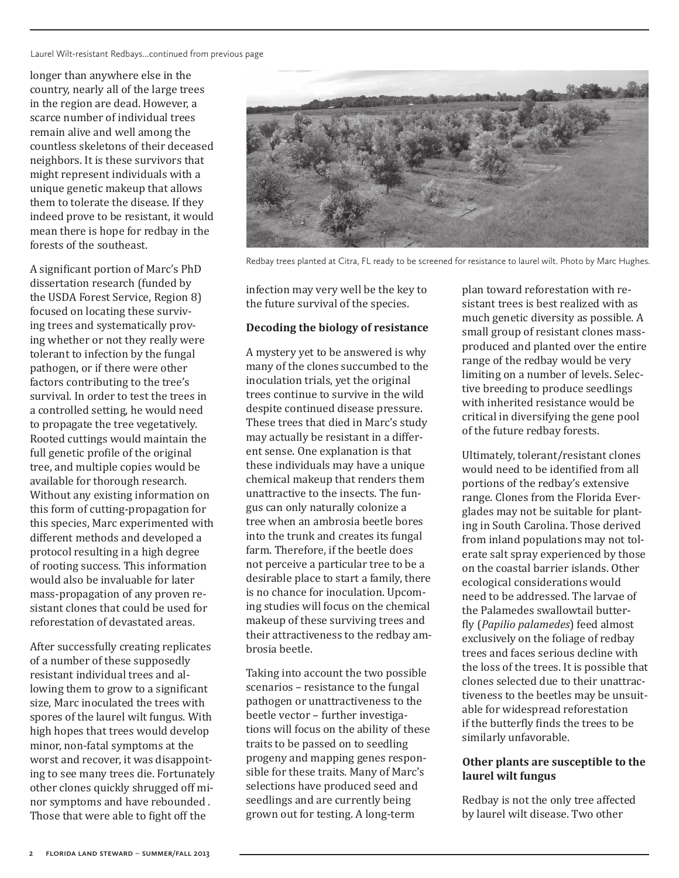Laurel Wilt-resistant Redbays...continued from previous page

longer than anywhere else in the country, nearly all of the large trees in the region are dead. However, a scarce number of individual trees remain alive and well among the countless skeletons of their deceased neighbors. It is these survivors that might represent individuals with a unique genetic makeup that allows them to tolerate the disease. If they indeed prove to be resistant, it would mean there is hope for redbay in the forests of the southeast.

A significant portion of Marc's PhD dissertation research (funded by the USDA Forest Service, Region 8) focused on locating these surviving trees and systematically proving whether or not they really were tolerant to infection by the fungal pathogen, or if there were other factors contributing to the tree's survival. In order to test the trees in a controlled setting, he would need to propagate the tree vegetatively. Rooted cuttings would maintain the full genetic profile of the original tree, and multiple copies would be available for thorough research. Without any existing information on this form of cutting-propagation for this species, Marc experimented with different methods and developed a protocol resulting in a high degree of rooting success. This information would also be invaluable for later mass-propagation of any proven resistant clones that could be used for reforestation of devastated areas.

After successfully creating replicates of a number of these supposedly resistant individual trees and allowing them to grow to a significant size, Marc inoculated the trees with spores of the laurel wilt fungus. With high hopes that trees would develop minor, non-fatal symptoms at the worst and recover, it was disappointing to see many trees die. Fortunately other clones quickly shrugged off minor symptoms and have rebounded . Those that were able to fight off the



Redbay trees planted at Citra, FL ready to be screened for resistance to laurel wilt. Photo by Marc Hughes.

infection may very well be the key to the future survival of the species.

#### **Decoding the biology of resistance**

A mystery yet to be answered is why many of the clones succumbed to the inoculation trials, yet the original trees continue to survive in the wild despite continued disease pressure. These trees that died in Marc's study may actually be resistant in a different sense. One explanation is that these individuals may have a unique chemical makeup that renders them unattractive to the insects. The fungus can only naturally colonize a tree when an ambrosia beetle bores into the trunk and creates its fungal farm. Therefore, if the beetle does not perceive a particular tree to be a desirable place to start a family, there is no chance for inoculation. Upcoming studies will focus on the chemical makeup of these surviving trees and their attractiveness to the redbay ambrosia beetle.

Taking into account the two possible scenarios – resistance to the fungal pathogen or unattractiveness to the beetle vector – further investigations will focus on the ability of these traits to be passed on to seedling progeny and mapping genes responsible for these traits. Many of Marc's selections have produced seed and seedlings and are currently being grown out for testing. A long-term

plan toward reforestation with resistant trees is best realized with as much genetic diversity as possible. A small group of resistant clones massproduced and planted over the entire range of the redbay would be very limiting on a number of levels. Selective breeding to produce seedlings with inherited resistance would be critical in diversifying the gene pool of the future redbay forests.

Ultimately, tolerant/resistant clones would need to be identified from all portions of the redbay's extensive range. Clones from the Florida Everglades may not be suitable for planting in South Carolina. Those derived from inland populations may not tolerate salt spray experienced by those on the coastal barrier islands. Other ecological considerations would need to be addressed. The larvae of the Palamedes swallowtail butterfly (*Papilio palamedes*) feed almost exclusively on the foliage of redbay trees and faces serious decline with the loss of the trees. It is possible that clones selected due to their unattractiveness to the beetles may be unsuitable for widespread reforestation if the butterfly finds the trees to be similarly unfavorable.

#### **Other plants are susceptible to the laurel wilt fungus**

Redbay is not the only tree affected by laurel wilt disease. Two other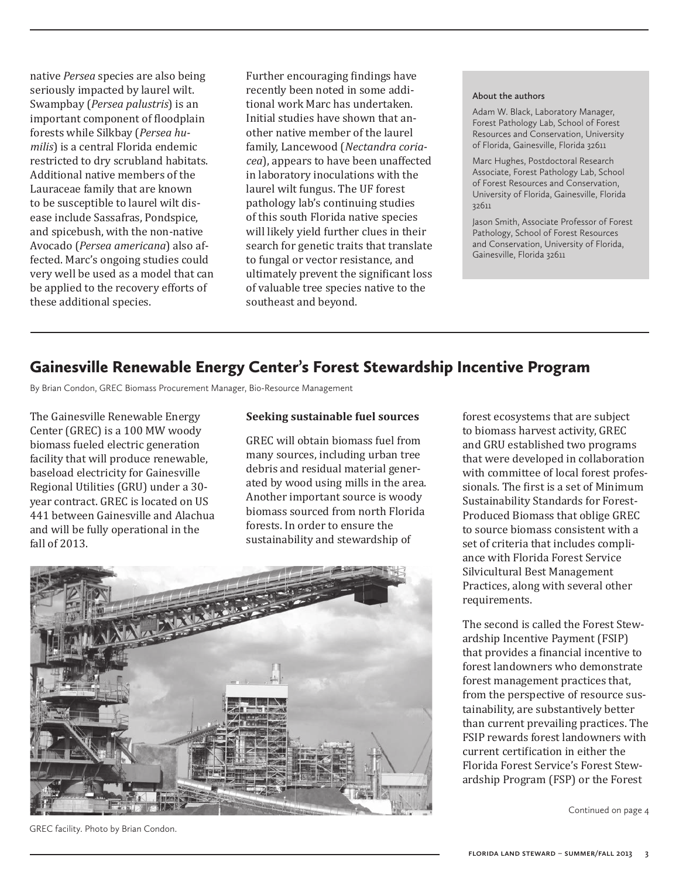native *Persea* species are also being seriously impacted by laurel wilt. Swampbay (*Persea palustris*) is an important component of floodplain forests while Silkbay (*Persea humilis*) is a central Florida endemic restricted to dry scrubland habitats. Additional native members of the Lauraceae family that are known to be susceptible to laurel wilt disease include Sassafras, Pondspice, and spicebush, with the non-native Avocado (*Persea americana*) also affected. Marc's ongoing studies could very well be used as a model that can be applied to the recovery efforts of these additional species.

Further encouraging findings have recently been noted in some additional work Marc has undertaken. Initial studies have shown that another native member of the laurel family, Lancewood (*Nectandra coriacea*), appears to have been unaffected in laboratory inoculations with the laurel wilt fungus. The UF forest pathology lab's continuing studies of this south Florida native species will likely yield further clues in their search for genetic traits that translate to fungal or vector resistance, and ultimately prevent the significant loss of valuable tree species native to the southeast and beyond.

#### **About the authors**

Adam W. Black, Laboratory Manager, Forest Pathology Lab, School of Forest Resources and Conservation, University of Florida, Gainesville, Florida 32611

Marc Hughes, Postdoctoral Research Associate, Forest Pathology Lab, School of Forest Resources and Conservation, University of Florida, Gainesville, Florida 32611

Jason Smith, Associate Professor of Forest Pathology, School of Forest Resources and Conservation, University of Florida, Gainesville, Florida 32611

### Gainesville Renewable Energy Center's Forest Stewardship Incentive Program

By Brian Condon, GREC Biomass Procurement Manager, Bio-Resource Management

The Gainesville Renewable Energy Center (GREC) is a 100 MW woody biomass fueled electric generation facility that will produce renewable, baseload electricity for Gainesville Regional Utilities (GRU) under a 30 year contract. GREC is located on US 441 between Gainesville and Alachua and will be fully operational in the fall of 2013.

#### **Seeking sustainable fuel sources**

GREC will obtain biomass fuel from many sources, including urban tree debris and residual material generated by wood using mills in the area. Another important source is woody biomass sourced from north Florida forests. In order to ensure the sustainability and stewardship of



forest ecosystems that are subject to biomass harvest activity, GREC and GRU established two programs that were developed in collaboration with committee of local forest professionals. The first is a set of Minimum Sustainability Standards for Forest-Produced Biomass that oblige GREC to source biomass consistent with a set of criteria that includes compliance with Florida Forest Service Silvicultural Best Management Practices, along with several other requirements.

The second is called the Forest Stewardship Incentive Payment (FSIP) that provides a financial incentive to forest landowners who demonstrate forest management practices that, from the perspective of resource sustainability, are substantively better than current prevailing practices. The FSIP rewards forest landowners with current certification in either the Florida Forest Service's Forest Stewardship Program (FSP) or the Forest

Continued on page 4

GREC facility. Photo by Brian Condon.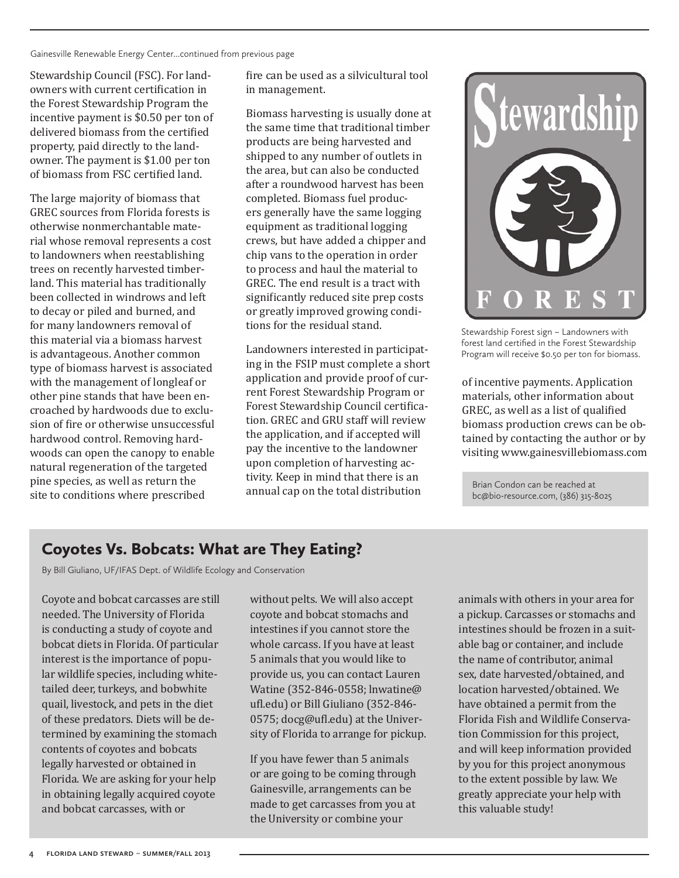Gainesville Renewable Energy Center...continued from previous page

Stewardship Council (FSC). For landowners with current certification in the Forest Stewardship Program the incentive payment is \$0.50 per ton of delivered biomass from the certified property, paid directly to the landowner. The payment is \$1.00 per ton of biomass from FSC certified land.

The large majority of biomass that GREC sources from Florida forests is otherwise nonmerchantable material whose removal represents a cost to landowners when reestablishing trees on recently harvested timberland. This material has traditionally been collected in windrows and left to decay or piled and burned, and for many landowners removal of this material via a biomass harvest is advantageous. Another common type of biomass harvest is associated with the management of longleaf or other pine stands that have been encroached by hardwoods due to exclusion of fire or otherwise unsuccessful hardwood control. Removing hardwoods can open the canopy to enable natural regeneration of the targeted pine species, as well as return the site to conditions where prescribed

fire can be used as a silvicultural tool in management.

Biomass harvesting is usually done at the same time that traditional timber products are being harvested and shipped to any number of outlets in the area, but can also be conducted after a roundwood harvest has been completed. Biomass fuel producers generally have the same logging equipment as traditional logging crews, but have added a chipper and chip vans to the operation in order to process and haul the material to GREC. The end result is a tract with significantly reduced site prep costs or greatly improved growing conditions for the residual stand.

Landowners interested in participating in the FSIP must complete a short application and provide proof of current Forest Stewardship Program or Forest Stewardship Council certification. GREC and GRU staff will review the application, and if accepted will pay the incentive to the landowner upon completion of harvesting activity. Keep in mind that there is an annual cap on the total distribution



Stewardship Forest sign – Landowners with forest land certified in the Forest Stewardship Program will receive \$0.50 per ton for biomass.

of incentive payments. Application materials, other information about GREC, as well as a list of qualified biomass production crews can be obtained by contacting the author or by visiting www.gainesvillebiomass.com

Brian Condon can be reached at bc@bio-resource.com, (386) 315-8025

# Coyotes Vs. Bobcats: What are They Eating?

By Bill Giuliano, UF/IFAS Dept. of Wildlife Ecology and Conservation

Coyote and bobcat carcasses are still needed. The University of Florida is conducting a study of coyote and bobcat diets in Florida. Of particular interest is the importance of popular wildlife species, including whitetailed deer, turkeys, and bobwhite quail, livestock, and pets in the diet of these predators. Diets will be determined by examining the stomach contents of coyotes and bobcats legally harvested or obtained in Florida. We are asking for your help in obtaining legally acquired coyote and bobcat carcasses, with or

without pelts. We will also accept coyote and bobcat stomachs and intestines if you cannot store the whole carcass. If you have at least 5 animals that you would like to provide us, you can contact Lauren Watine (352-846-0558; lnwatine@ ufl.edu) or Bill Giuliano (352-846- 0575; docg@ufl.edu) at the University of Florida to arrange for pickup.

If you have fewer than 5 animals or are going to be coming through Gainesville, arrangements can be made to get carcasses from you at the University or combine your

animals with others in your area for a pickup. Carcasses or stomachs and intestines should be frozen in a suitable bag or container, and include the name of contributor, animal sex, date harvested/obtained, and location harvested/obtained. We have obtained a permit from the Florida Fish and Wildlife Conservation Commission for this project, and will keep information provided by you for this project anonymous to the extent possible by law. We greatly appreciate your help with this valuable study!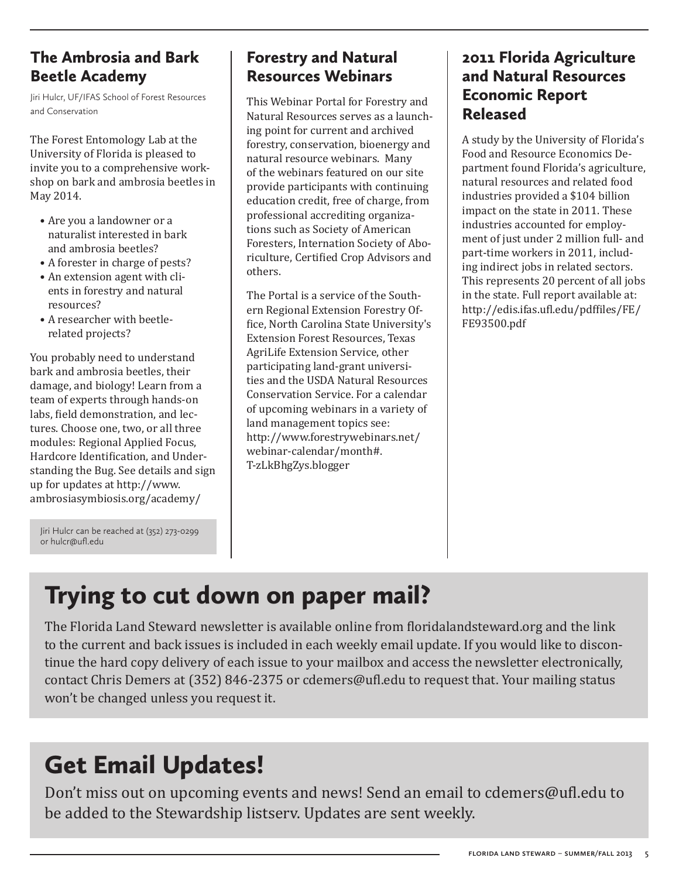# The Ambrosia and Bark Beetle Academy

Jiri Hulcr, UF/IFAS School of Forest Resources and Conservation

The Forest Entomology Lab at the University of Florida is pleased to invite you to a comprehensive workshop on bark and ambrosia beetles in May 2014.

- Are you a landowner or a naturalist interested in bark and ambrosia beetles?
- A forester in charge of pests?
- An extension agent with clients in forestry and natural resources?
- A researcher with beetlerelated projects?

You probably need to understand bark and ambrosia beetles, their damage, and biology! Learn from a team of experts through hands-on labs, field demonstration, and lectures. Choose one, two, or all three modules: Regional Applied Focus, Hardcore Identification, and Understanding the Bug. See details and sign up for updates at http://www. ambrosiasymbiosis.org/academy/

Jiri Hulcr can be reached at (352) 273-0299 or hulcr@ufl.edu

# Forestry and Natural Resources Webinars

This Webinar Portal for Forestry and Natural Resources serves as a launching point for current and archived forestry, conservation, bioenergy and natural resource webinars. Many of the webinars featured on our site provide participants with continuing education credit, free of charge, from professional accrediting organizations such as Society of American Foresters, Internation Society of Aboriculture, Certified Crop Advisors and others.

The Portal is a service of the Southern Regional Extension Forestry Office, North Carolina State University's Extension Forest Resources, Texas AgriLife Extension Service, other participating land-grant universities and the USDA Natural Resources Conservation Service. For a calendar of upcoming webinars in a variety of land management topics see: http://www.forestrywebinars.net/ webinar-calendar/month#. T-zLkBhgZys.blogger

# 2011 Florida Agriculture and Natural Resources Economic Report Released

A study by the University of Florida's Food and Resource Economics Department found Florida's agriculture, natural resources and related food industries provided a \$104 billion impact on the state in 2011. These industries accounted for employment of just under 2 million full- and part-time workers in 2011, including indirect jobs in related sectors. This represents 20 percent of all jobs in the state. Full report available at: http://edis.ifas.ufl.edu/pdffiles/FE/ FE93500.pdf

# Trying to cut down on paper mail?

The Florida Land Steward newsletter is available online from floridalandsteward.org and the link to the current and back issues is included in each weekly email update. If you would like to discontinue the hard copy delivery of each issue to your mailbox and access the newsletter electronically, contact Chris Demers at (352) 846-2375 or cdemers@ufl.edu to request that. Your mailing status won't be changed unless you request it.

# Get Email Updates!

Don't miss out on upcoming events and news! Send an email to cdemers@ufl.edu to be added to the Stewardship listserv. Updates are sent weekly.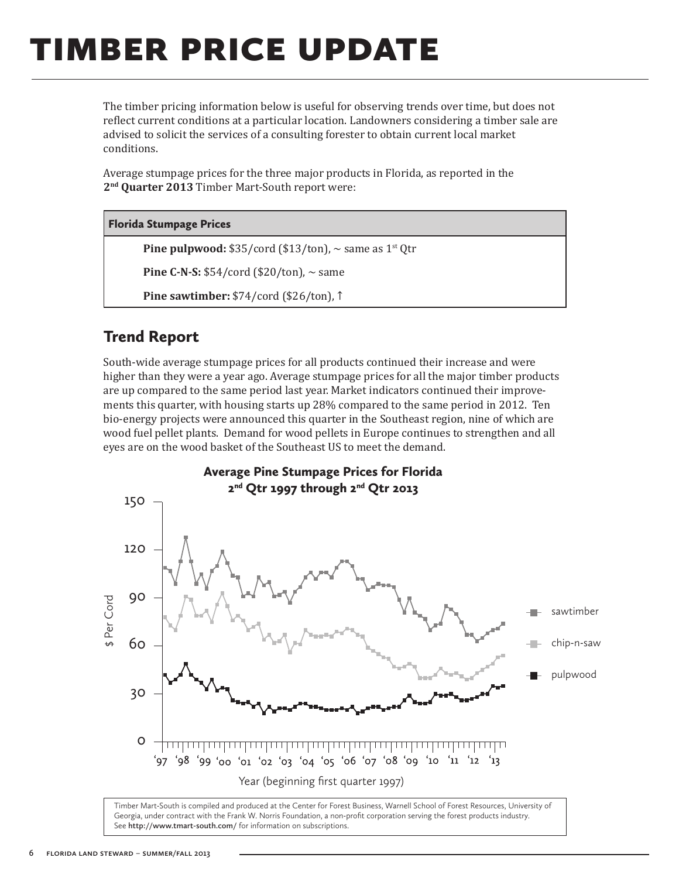# timber price update

The timber pricing information below is useful for observing trends over time, but does not reflect current conditions at a particular location. Landowners considering a timber sale are advised to solicit the services of a consulting forester to obtain current local market conditions.

Average stumpage prices for the three major products in Florida, as reported in the **2nd Quarter 2013** Timber Mart-South report were:

#### Florida Stumpage Prices

**Pine pulpwood:**  $$35/cord$  ( $$13/ton$ ),  $\sim$  same as  $1^{st}$  Qtr

**Pine C-N-S:**  $$54/cord$  ( $$20/ton$ ),  $\sim$  same

**Pine sawtimber:** \$74/cord (\$26/ton), ↑

### Trend Report

South-wide average stumpage prices for all products continued their increase and were higher than they were a year ago. Average stumpage prices for all the major timber products are up compared to the same period last year. Market indicators continued their improvements this quarter, with housing starts up 28% compared to the same period in 2012. Ten bio-energy projects were announced this quarter in the Southeast region, nine of which are wood fuel pellet plants. Demand for wood pellets in Europe continues to strengthen and all eyes are on the wood basket of the Southeast US to meet the demand.



Timber Mart-South is compiled and produced at the Center for Forest Business, Warnell School of Forest Resources, University of Georgia, under contract with the Frank W. Norris Foundation, a non-profit corporation serving the forest products industry. See **http://www.tmart-south.com/** for information on subscriptions.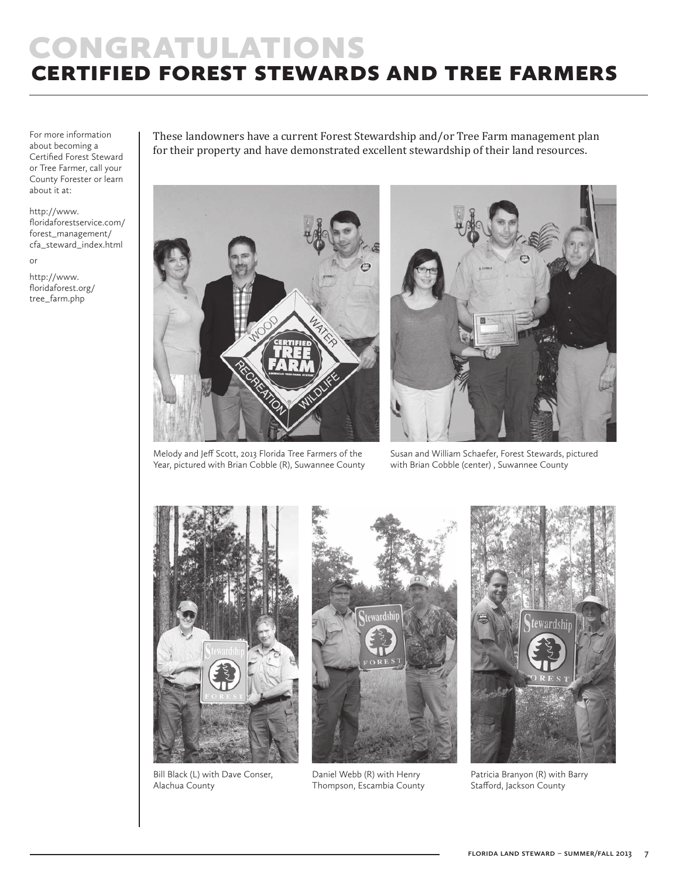# **CONGRATULATIONS** certified forest stewards and tree farmers

For more information about becoming a Certified Forest Steward or Tree Farmer, call your County Forester or learn about it at:

#### http://www.

floridaforestservice.com/ forest\_management/ cfa\_steward\_index.html

or

http://www. floridaforest.org/ tree\_farm.php

These landowners have a current Forest Stewardship and/or Tree Farm management plan for their property and have demonstrated excellent stewardship of their land resources.



Melody and Jeff Scott, 2013 Florida Tree Farmers of the Year, pictured with Brian Cobble (R), Suwannee County



Susan and William Schaefer, Forest Stewards, pictured with Brian Cobble (center) , Suwannee County



Bill Black (L) with Dave Conser, Alachua County



Daniel Webb (R) with Henry Thompson, Escambia County



Patricia Branyon (R) with Barry Stafford, Jackson County